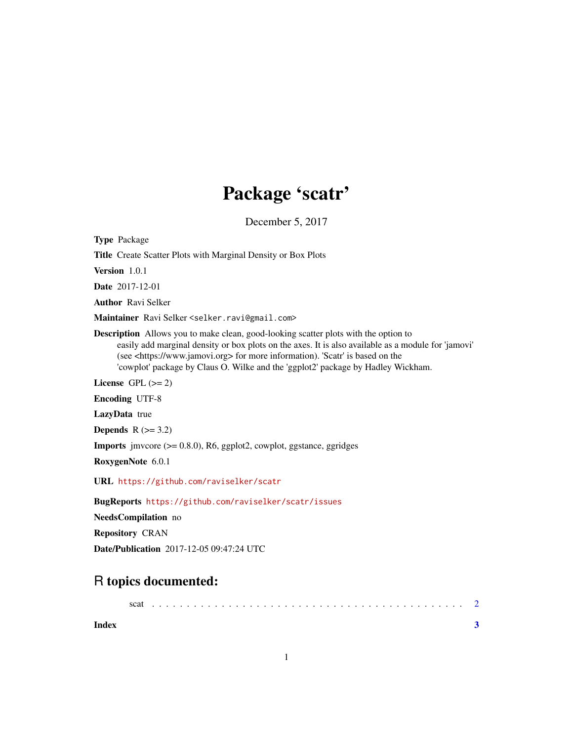## Package 'scatr'

December 5, 2017

Type Package

Title Create Scatter Plots with Marginal Density or Box Plots

Version 1.0.1

Date 2017-12-01

Author Ravi Selker

Maintainer Ravi Selker <selker.ravi@gmail.com>

Description Allows you to make clean, good-looking scatter plots with the option to easily add marginal density or box plots on the axes. It is also available as a module for 'jamovi' (see <https://www.jamovi.org> for more information). 'Scatr' is based on the 'cowplot' package by Claus O. Wilke and the 'ggplot2' package by Hadley Wickham.

License GPL  $(>= 2)$ 

Encoding UTF-8

LazyData true

Depends  $R$  ( $>= 3.2$ )

**Imports** jmvcore  $(>= 0.8.0)$ , R6, ggplot2, cowplot, ggstance, ggridges

RoxygenNote 6.0.1

URL <https://github.com/raviselker/scatr>

BugReports <https://github.com/raviselker/scatr/issues>

NeedsCompilation no

Repository CRAN

Date/Publication 2017-12-05 09:47:24 UTC

### R topics documented:

| scat |  |  |  |  |  |  |  |  |  |  |  |  |  |  |  |  |  |  |  |  |  |  |  |  |
|------|--|--|--|--|--|--|--|--|--|--|--|--|--|--|--|--|--|--|--|--|--|--|--|--|
|      |  |  |  |  |  |  |  |  |  |  |  |  |  |  |  |  |  |  |  |  |  |  |  |  |

**Index** [3](#page-2-0)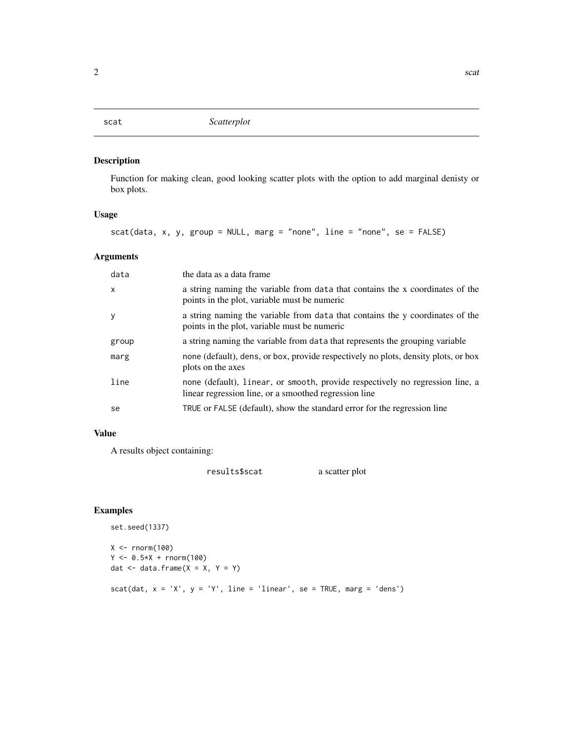#### <span id="page-1-0"></span>Description

Function for making clean, good looking scatter plots with the option to add marginal denisty or box plots.

#### Usage

scat(data, x, y, group = NULL, marg = "none", line = "none", se = FALSE)

#### Arguments

| $\boldsymbol{\mathsf{x}}$<br>points in the plot, variable must be numeric<br>У<br>points in the plot, variable must be numeric<br>a string naming the variable from data that represents the grouping variable<br>group<br>marg<br>plots on the axes<br>line<br>linear regression line, or a smoothed regression line<br>TRUE or FALSE (default), show the standard error for the regression line<br>se | data | the data as a data frame                                                           |
|---------------------------------------------------------------------------------------------------------------------------------------------------------------------------------------------------------------------------------------------------------------------------------------------------------------------------------------------------------------------------------------------------------|------|------------------------------------------------------------------------------------|
|                                                                                                                                                                                                                                                                                                                                                                                                         |      | a string naming the variable from data that contains the x coordinates of the      |
|                                                                                                                                                                                                                                                                                                                                                                                                         |      | a string naming the variable from data that contains the y coordinates of the      |
|                                                                                                                                                                                                                                                                                                                                                                                                         |      |                                                                                    |
|                                                                                                                                                                                                                                                                                                                                                                                                         |      | none (default), dens, or box, provide respectively no plots, density plots, or box |
|                                                                                                                                                                                                                                                                                                                                                                                                         |      | none (default), linear, or smooth, provide respectively no regression line, a      |
|                                                                                                                                                                                                                                                                                                                                                                                                         |      |                                                                                    |

#### Value

A results object containing:

results\$scat a scatter plot

#### Examples

```
set.seed(1337)
X < - rnorm(100)
Y < -0.5*X + rnorm(100)dat \leq data.frame(X = X, Y = Y)
scat(dat, x = 'X', y = 'Y', line = 'linear', se = TRUE, marg = 'dens')
```